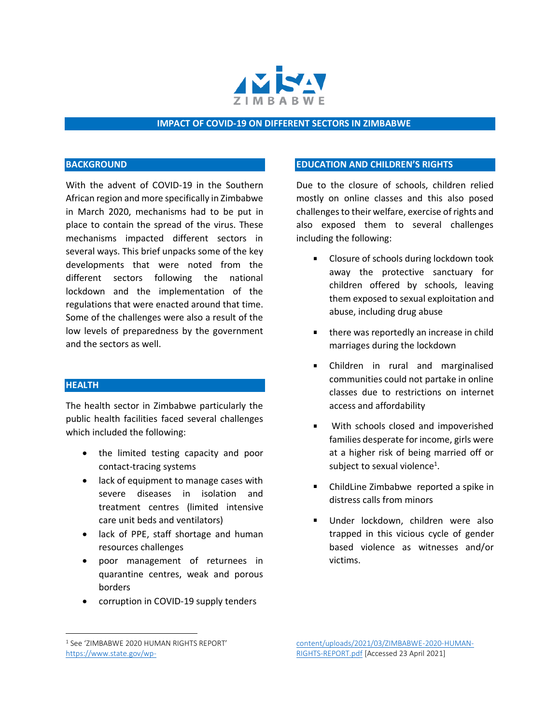

### **IMPACT OF COVID-19 ON DIFFERENT SECTORS IN ZIMBABWE**

#### **BACKGROUND**

With the advent of COVID-19 in the Southern African region and more specifically in Zimbabwe in March 2020, mechanisms had to be put in place to contain the spread of the virus. These mechanisms impacted different sectors in several ways. This brief unpacks some of the key developments that were noted from the different sectors following the national lockdown and the implementation of the regulations that were enacted around that time. Some of the challenges were also a result of the low levels of preparedness by the government and the sectors as well.

# **HEALTH**

The health sector in Zimbabwe particularly the public health facilities faced several challenges which included the following:

- the limited testing capacity and poor contact-tracing systems
- lack of equipment to manage cases with severe diseases in isolation and treatment centres (limited intensive care unit beds and ventilators)
- lack of PPE, staff shortage and human resources challenges
- poor management of returnees in quarantine centres, weak and porous borders
- corruption in COVID-19 supply tenders

### **EDUCATION AND CHILDREN'S RIGHTS**

Due to the closure of schools, children relied mostly on online classes and this also posed challenges to their welfare, exercise of rights and also exposed them to several challenges including the following:

- Closure of schools during lockdown took away the protective sanctuary for children offered by schools, leaving them exposed to sexual exploitation and abuse, including drug abuse
- **there was reportedly an increase in child** marriages during the lockdown
- Children in rural and marginalised communities could not partake in online classes due to restrictions on internet access and affordability
- With schools closed and impoverished families desperate for income, girls were at a higher risk of being married off or subject to sexual violence<sup>1</sup>.
- ChildLine Zimbabwe reported a spike in distress calls from minors
- Under lockdown, children were also trapped in this vicious cycle of gender based violence as witnesses and/or victims.

<sup>1</sup> See 'ZIMBABWE 2020 HUMAN RIGHTS REPORT' [https://www.state.gov/wp-](https://www.state.gov/wp-content/uploads/2021/03/ZIMBABWE-2020-HUMAN-RIGHTS-REPORT.pdf)